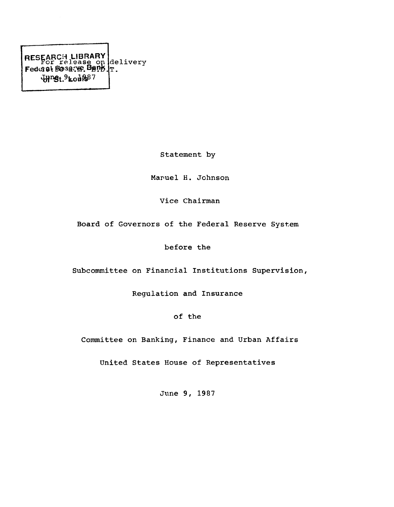RESEARCH LIBRARY Fedciel: Sfesaftft BfiPffJ  $J\mu$ ng<sub>t.</sub>9<sub>kou</sub>887 delivery T.

Statement by

Maruel H. Johnson

Vice Chairman

Board of Governors of the Federal Reserve System

before the

Subcommittee on Financial Institutions Supervision,

Regulation and Insurance

of the

Committee on Banking, Finance and Urban Affairs

United States House of Representatives

June 9, 1987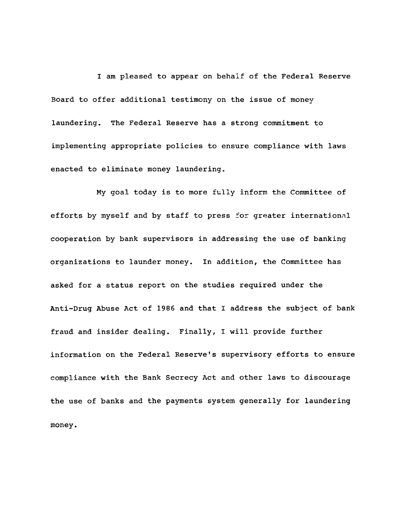I am pleased to appear on behalf of the Federal Reserve Board to offer additional testimony on the issue of money laundering. The Federal Reserve has a strong commitment to implementing appropriate policies to ensure compliance with laws enacted to eliminate money laundering.

My goal today is to more fully inform the Committee of efforts by myself and by staff to press for greater international cooperation by bank supervisors in addressing the use of banking organizations to launder money. In addition, the Committee has asked for a status report on the studies required under the Anti-Drug Abuse Act of 1986 and that I address the subject of bank fraud and insider dealing. Finally, I will provide further information on the Federal Reserve's supervisory efforts to ensure compliance with the Bank Secrecy Act and other laws to discourage the use of banks and the payments system generally for laundering money.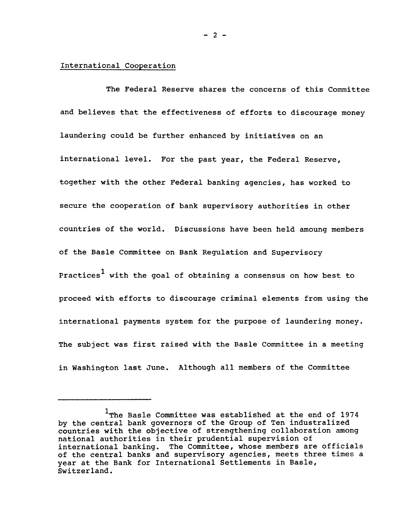## International Cooperation

The Federal Reserve shares the concerns of this Committee and believes that the effectiveness of efforts to discourage money laundering could be further enhanced by initiatives on an international level. For the past year, the Federal Reserve, together with the other Federal banking agencies, has worked to secure the cooperation of bank supervisory authorities in other countries of the world. Discussions have been held amoung members of the Basle Committee on Bank Regulation and Supervisory Practices<sup>1</sup> with the goal of obtaining a consensus on how best to proceed with efforts to discourage criminal elements from using the international payments system for the purpose of laundering money. The subject was first raised with the Basle Committee in a meeting in Washington last June. Although all members of the Committee

**- 2 -**

 $1$ The Basle Committee was established at the end of 1974 by the central bank governors of the Group of Ten industralized countries with the objective of strengthening collaboration among national authorities in their prudential supervision of international banking. The Committee, whose members are officials of the central banks and supervisory agencies, meets three times a year at the Bank for International Settlements in Basle, Switzerland.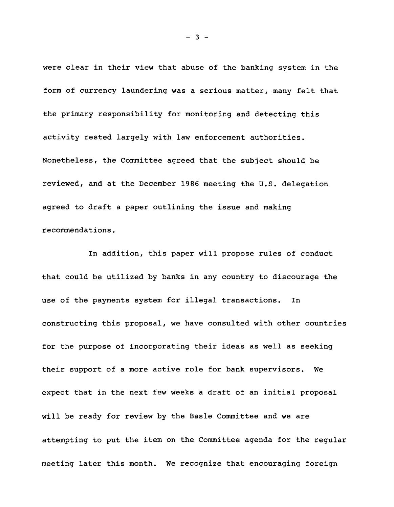were clear in their view that abuse of the banking system in the form of currency laundering was a serious matter, many felt that the primary responsibility for monitoring and detecting this activity rested largely with law enforcement authorities. Nonetheless, the Committee agreed that the subject should be reviewed, and at the December 1986 meeting the U.S. delegation agreed to draft a paper outlining the issue and making recommendations.

In addition, this paper will propose rules of conduct that could be utilized by banks in any country to discourage the use of the payments system for illegal transactions. In constructing this proposal, we have consulted with other countries for the purpose of incorporating their ideas as well as seeking their support of a more active role for bank supervisors. We expect that in the next few weeks a draft of an initial proposal will be ready for review by the Basle Committee and we are attempting to put the item on the Committee agenda for the regular meeting later this month. We recognize that encouraging foreign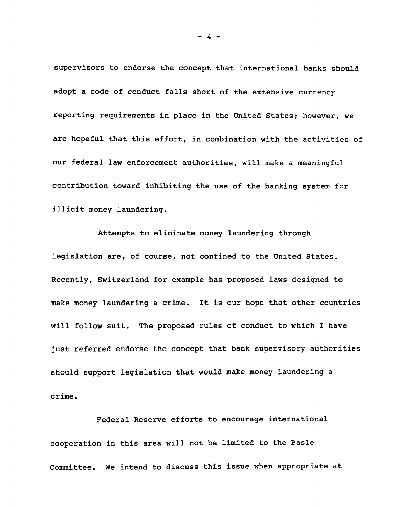supervisors to endorse the concept that international banks should adopt a code of conduct falls short of the extensive currency reporting requirements in place in the United States; however, we are hopeful that this effort, in combination with the activities of our federal law enforcement authorities, will make a meaningful contribution toward inhibiting the use of the banking system for illicit money laundering.

Attempts to eliminate money laundering through legislation are, of course, not confined to the United States. Recently, Switzerland for example has proposed laws designed to make money laundering a crime. It is our hope that other countries will follow suit. The proposed rules of conduct to which I have just referred endorse the concept that bank supervisory authorities should support legislation that would make money laundering a crime.

Federal Reserve efforts to encourage international cooperation in this area will not be limited to the Basle Committee. We intend to discuss this issue when appropriate at

 $-4-$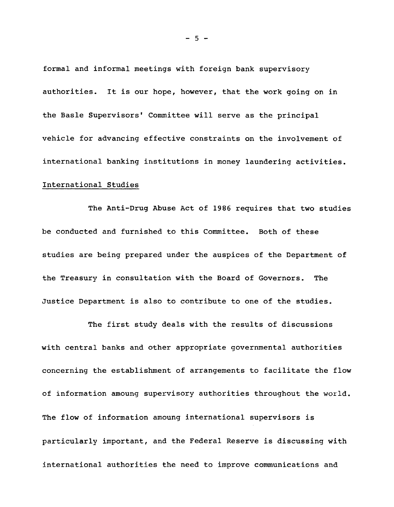formal and informal meetings with foreign bank supervisory authorities. It is our hope, however, that the work going on in the Basle Supervisors' Committee will serve as the principal vehicle for advancing effective constraints on the involvement of international banking institutions in money laundering activities. International Studies

The Anti-Drug Abuse Act of 1986 requires that two studies be conducted and furnished to this Committee. Both of these studies are being prepared under the auspices of the Department of the Treasury in consultation with the Board of Governors. The Justice Department is also to contribute to one of the studies.

The first study deals with the results of discussions with central banks and other appropriate governmental authorities concerning the establishment of arrangements to facilitate the flow of information amoung supervisory authorities throughout the world. The flow of information amoung international supervisors is particularly important, and the Federal Reserve is discussing with international authorities the need to improve communications and

**- 5 -**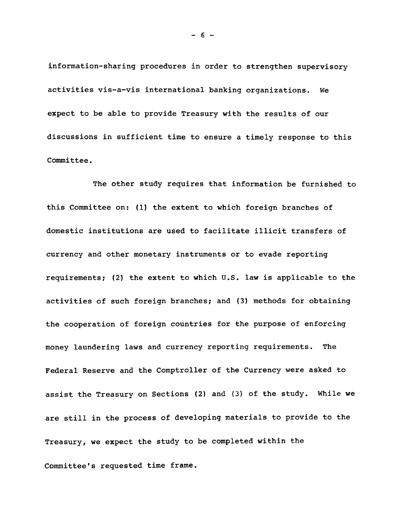information-sharing procedures in order to strengthen supervisory activities vis-a-vis international banking organizations. We expect to be able to provide Treasury with the results of our discussions in sufficient time to ensure a timely response to this Committee.

The other study requires that information be furnished to this Committee on: (1) the extent to which foreign branches of domestic institutions are used to facilitate illicit transfers of currency and other monetary instruments or to evade reporting requirements; (2) the extent to which D.S. law is applicable to the activities of such foreign branches; and (3) methods for obtaining the cooperation of foreign countries for the purpose of enforcing money laundering laws and currency reporting requirements. The Federal Reserve and the Comptroller of the Currency were asked to assist the Treasury on Sections (2) and (3) of the study. While we are still in the process of developing materials to provide to the Treasury, we expect the study to be completed within the Committee's requested time frame.

 $-6-$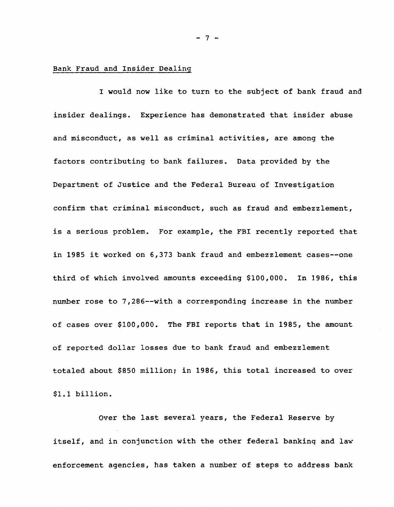## Bank Fraud and Insider Dealing

I would now like to turn to the subject of bank fraud and insider dealings. Experience has demonstrated that insider abuse and misconduct, as well as criminal activities, are among the factors contributing to bank failures. Data provided by the Department of Justice and the Federal Bureau of Investigation confirm that criminal misconduct, such as fraud and embezzlement, is a serious problem. For example, the FBI recently reported that in 1985 it worked on 6,373 bank fraud and embezzlement cases--one third of which involved amounts exceeding \$100,000. In 1986, this number rose to 7,286--with a corresponding increase in the number of cases over \$100,000. The FBI reports that in 1985, the amount of reported dollar losses due to bank fraud and embezzlement totaled about \$850 million; in 1986, this total increased to over \$1.1 billion.

Over the last several years, the Federal Reserve by itself, and in conjunction with the other federal banking and law enforcement agencies, has taken a number of steps to address bank

**- 7 -**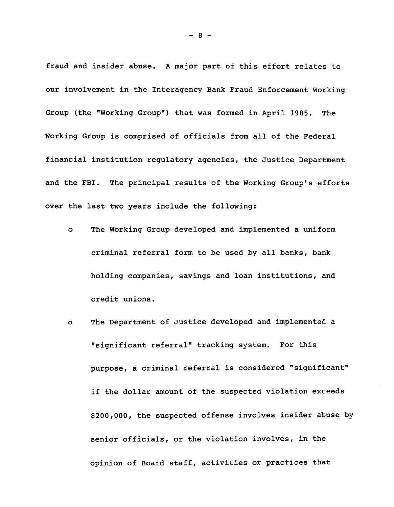fraud and insider abuse. A major part of this effort relates to our involvement in the Interagency Bank Fraud Enforcement Working Group (the "Working Group") that was formed in April 1985. The Working Group is comprised of officials from all of the Federal financial institution regulatory agencies, the Justice Department and the FBI. The principal results of the Working Group's efforts over the last two years include the following:

- o The Working Group developed and implemented a uniform criminal referral form to be used by all banks, bank holding companies, savings and loan institutions, and credit unions.
- o The Department of Justice developed and implemented a "significant referral" tracking system. For this purpose, a criminal referral is considered "significant" if the dollar amount of the suspected violation exceeds \$200,000, the suspected offense involves insider abuse by senior officials, or the violation involves, in the opinion of Board staff, activities or practices that

 $-8 -$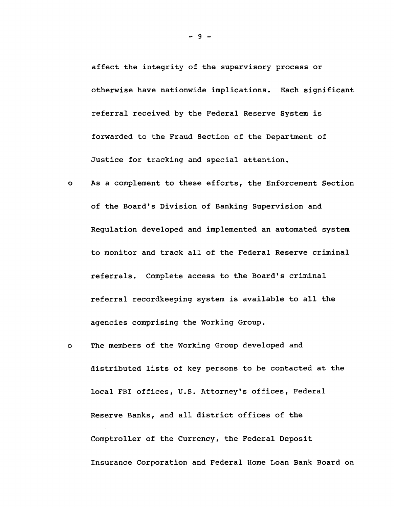affect the integrity of the supervisory process or otherwise have nationwide implications. Each significant referral received by the Federal Reserve System is forwarded to the Fraud Section of the Department of Justice for tracking and special attention.

- As a complement to these efforts, the Enforcement Section  $\bullet$ of the Board's Division of Banking Supervision and Regulation developed and implemented an automated system to monitor and track all of the Federal Reserve criminal referrals. Complete access to the Board's criminal referral recordkeeping system is available to all the agencies comprising the Working Group.
- The members of the Working Group developed and  $\mathbf{o}$ distributed lists of key persons to be contacted at the local FBI offices, U.S. Attorney's offices, Federal Reserve Banks, and all district offices of the Comptroller of the Currency, the Federal Deposit Insurance Corporation and Federal Home Loan Bank Board on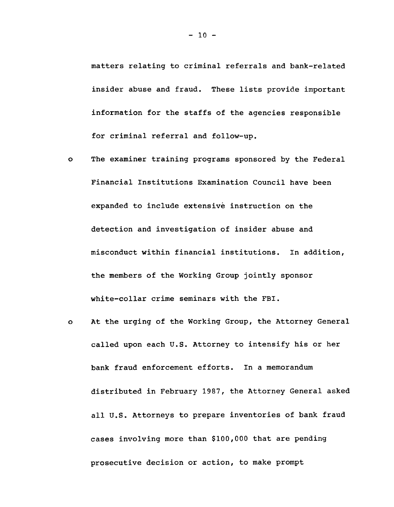matters relating to criminal referrals and bank-related insider abuse and fraud. These lists provide important information for the staffs of the agencies responsible for criminal referral and follow-up.

- $\bullet$ The examiner training programs sponsored by the Federal Financial Institutions Examination Council have been expanded to include extensive instruction on the detection and investigation of insider abuse and misconduct within financial institutions. In addition, the members of the Working Group jointly sponsor white-collar crime seminars with the FBI.
- At the urging of the Working Group, the Attorney General  $\mathbf{o}$ called upon each U.S. Attorney to intensify his or her bank fraud enforcement efforts. In a memorandum distributed in February 1987, the Attorney General asked all U.S. Attorneys to prepare inventories of bank fraud cases involving more than \$100,000 that are pending prosecutive decision or action, to make prompt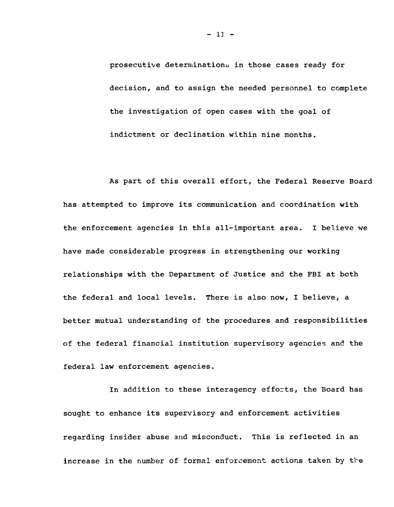prosecutive determinations in those cases ready for decision, and to assign the needed personnel to complete the investigation of open cases with the goal of indictment or declination within nine months.

As part of this overall effort, the Federal Reserve Board has attempted to improve its communication and coordination with the enforcement agencies in this all-important area. I believe we have made considerable progress in strengthening our working relationships with the Department of Justice and the FBI at both the federal and local levels. There is also now, I believe, a better mutual understanding of the procedures and responsibilities of the federal financial institution supervisory agencies and the federal law enforcement agencies.

In addition to these interagency efforts, the Board has sought to enhance its supervisory and enforcement activities regarding insider abuse and misconduct. This is reflected in an increase in the number of formal enforcement actions taken by the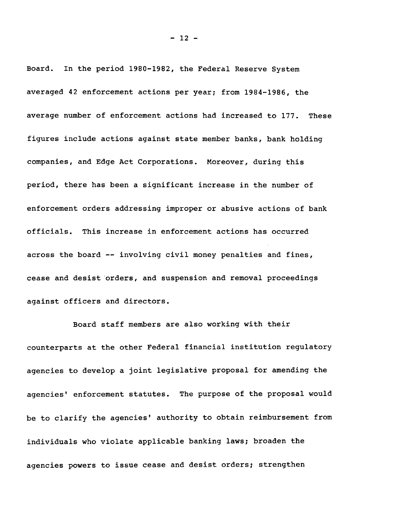Board. In the period 1980-1982, the Federal Reserve System averaged 42 enforcement actions per year; from 1984-1986, the average number of enforcement actions had increased to 177. These figures include actions against state member banks, bank holding companies, and Edge Act Corporations. Moreover, during this period, there has been a significant increase in the number of enforcement orders addressing improper or abusive actions of bank officials. This increase in enforcement actions has occurred across the board -- involving civil money penalties and fines, cease and desist orders, and suspension and removal proceedings against officers and directors.

Board staff members are also working with their counterparts at the other Federal financial institution regulatory agencies to develop a joint legislative proposal for amending the agencies' enforcement statutes. The purpose of the proposal would be to clarify the agencies' authority to obtain reimbursement from individuals who violate applicable banking laws; broaden the agencies powers to issue cease and desist orders; strengthen

 $-12 -$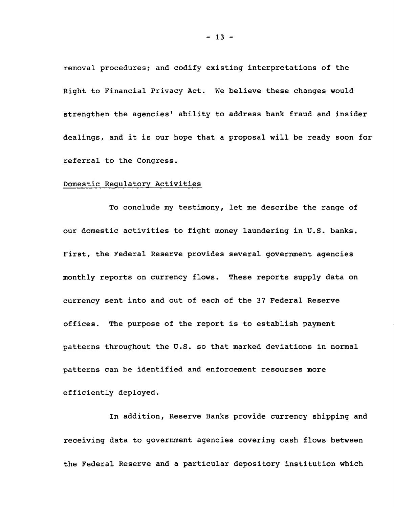removal procedures; and codify existing interpretations of the Right to Financial Privacy Act. We believe these changes would strengthen the agencies' ability to address bank fraud and insider dealings, and it is our hope that a proposal will be ready soon for referral to the Congress.

## Domestic Regulatory Activities

To conclude my testimony, let me describe the range of our domestic activities to fight money laundering in U.S. banks. First, the Federal Reserve provides several government agencies monthly reports on currency flows. These reports supply data on currency sent into and out of each of the 37 Federal Reserve offices. The purpose of the report is to establish payment patterns throughout the U.S. so that marked deviations in normal patterns can be identified and enforcement resourses more efficiently deployed.

In addition, Reserve Banks provide currency shipping and receiving data to government agencies covering cash flows between the Federal Reserve and a particular depository institution which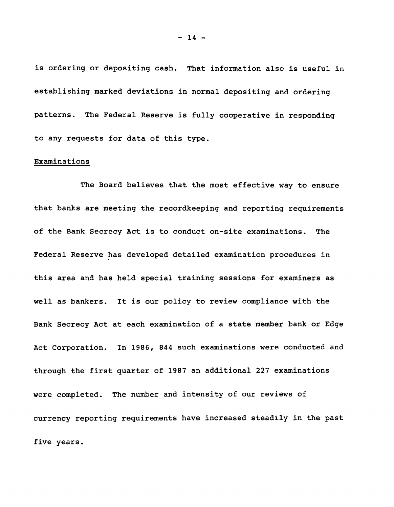is ordering or depositing cash. That information also is useful in establishing marked deviations in normal depositing and ordering patterns. The Federal Reserve is fully cooperative in responding to any requests for data of this type.

## Examinations

The Board believes that the most effective way to ensure that banks are meeting the recordkeeping and reporting requirements of the Bank Secrecy Act is to conduct on-site examinations. The Federal Reserve has developed detailed examination procedures in this area and has held special training sessions for examiners as well as bankers. It is our policy to review compliance with the Bank Secrecy Act at each examination of a state member bank or Edge Act Corporation. In 1986, 844 such examinations were conducted and through the first quarter of 1987 an additional 227 examinations were completed. The number and intensity of our reviews of currency reporting requirements have increased steadily in the past five years.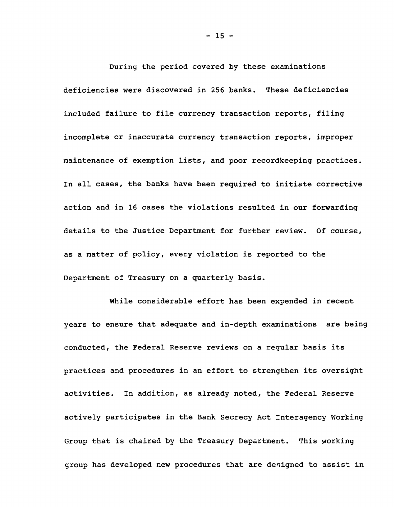During the period covered by these examinations deficiencies were discovered in 256 banks. These deficiencies included failure to file currency transaction reports, filing incomplete or inaccurate currency transaction reports, improper maintenance of exemption lists, and poor recordkeeping practices. In all cases, the banks have been required to initiate corrective action and in 16 cases the violations resulted in our forwarding details to the Justice Department for further review. Of course, as a matter of policy, every violation is reported to the Department of Treasury on a quarterly basis.

While considerable effort has been expended in recent years to ensure that adequate and in-depth examinations are being conducted, the Federal Reserve reviews on a regular basis its practices and procedures in an effort to strengthen its oversight activities. In addition, as already noted, the Federal Reserve actively participates in the Bank Secrecy Act Interagency Working Group that is chaired by the Treasury Department. This working group has developed new procedures that are designed to assist in

**- 15 -**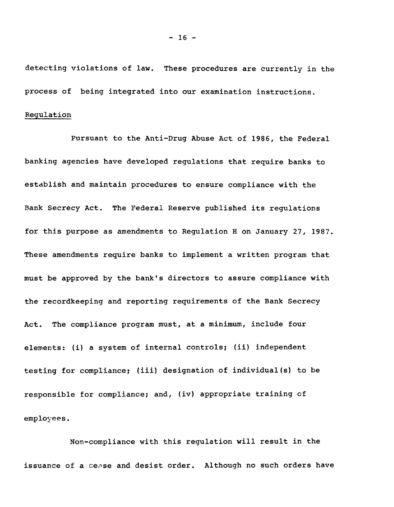detecting violations of law. These procedures are currently in the process of being integrated into our examination instructions.

#### Regulation

Pursuant to the Anti-Drug Abuse Act of 1986, the Federal banking agencies have developed regulations that require banks to establish and maintain procedures to ensure compliance with the Bank Secrecy Act. The Federal Reserve published its regulations for this purpose as amendments to Regulation H on January 27, 1987. These amendments require banks to implement a written program that must be approved by the bank's directors to assure compliance with the recordkeeping and reporting requirements of the Bank Secrecy Act. The compliance program must, at a minimum, include four elements: (i) a system of internal controls; (ii) independent testing for compliance; (iii) designation of individual(s) to be responsible for compliance; and, (iv) appropriate training of employees.

Non-compliance with this regulation will result in the issuance of a cease and desist order. Although no such orders have

**- 16 -**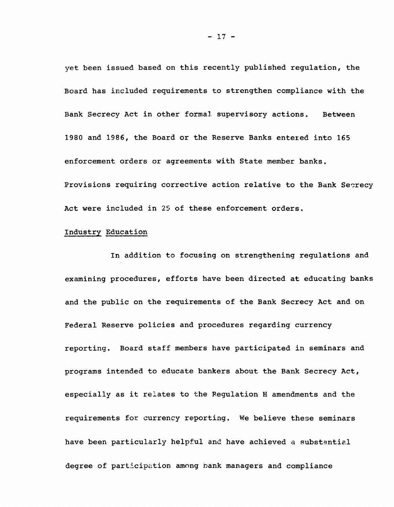yet been issued based on this recently published regulation, the Board has included requirements to strengthen compliance with the Bank Secrecy Act in other formal supervisory actions. Between 1980 and 1986, the Board or the Reserve Banks entered into 165 enforcement orders or agreements with State member banks. Provisions requiring corrective action relative to the Bank Secrecy Act were included in 25 of these enforcement orders.

# Industry Education

In addition to focusing on strengthening regulations and examining procedures, efforts have been directed at educating banks and the public on the requirements of the Bank Secrecy Act and on Federal Reserve policies and procedures regarding currency reporting. Board staff members have participated in seminars and programs intended to educate bankers about the Bank Secrecy Act, especially as it relates to the Regulation H amendments and the requirements for currency reporting. We believe these seminars have been particularly helpful and have achieved a substantial degree of participation among bank managers and compliance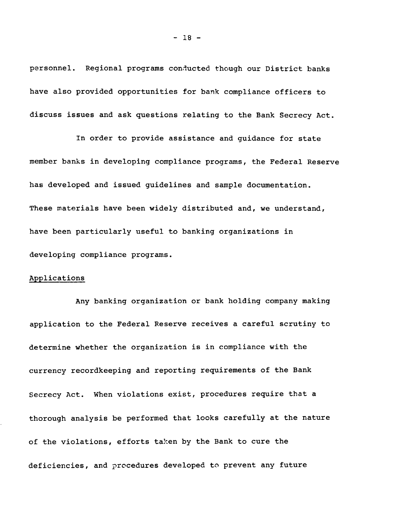personnel. Regional programs conducted though our District banks have also provided opportunities for bank compliance officers to discuss issues and ask questions relating to the Bank Secrecy Act.

In order to provide assistance and guidance for state member banks in developing compliance programs, the Federal Reserve has developed and issued guidelines and sample documentation. These materials have been widely distributed and, we understand, have been particularly useful to banking organizations in developing compliance programs.

## Applications

Any banking organization or bank holding company making application to the Federal Reserve receives a careful scrutiny to determine whether the organization is in compliance with the currency recordkeeping and reporting requirements of the Bank Secrecy Act. When violations exist, procedures require that a thorough analysis be performed that looks carefully at the nature of the violations, efforts taken by the Bank to cure the deficiencies, and procedures developed to prevent any future

**- 18 -**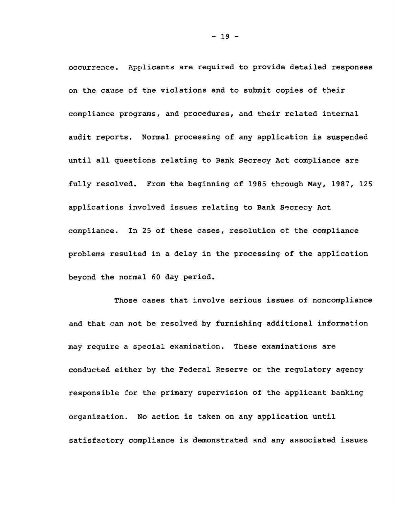occurrence. Applicants are required to provide detailed responses on the cause of the violations and to submit copies of their compliance programs, and procedures, and their related internal audit reports. Normal processing of any application is suspended until all questions relating to Bank Secrecy Act compliance are fully resolved. From the beginning of 1985 through May, 1987, 125 applications involved issues relating to Bank Secrecy Act compliance. In 25 of these cases, resolution of the compliance problems resulted in a delay in the processing of the application beyond the normal 60 day period.

Those cases that involve serious issues of noncompliance and that can not be resolved by furnishing additional information may require a special examination. These examinations are conducted either by the Federal Reserve or the regulatory agency responsible for the primary supervision of the applicant banking organization. No action is taken on any application until satisfactory compliance is demonstrated and any associated issues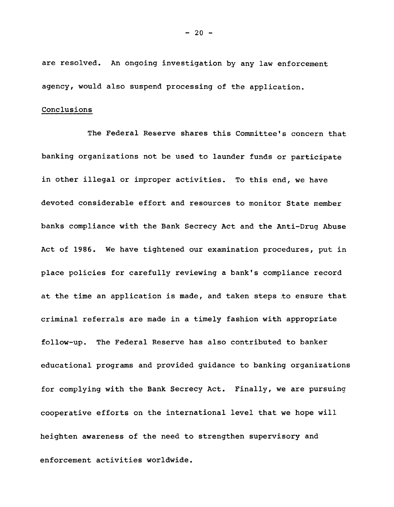are resolved. An ongoing investigation by any law enforcement agency, would also suspend processing of the application.

# Conclusions

The Federal Reserve shares this Committee's concern that banking organizations not be used to launder funds or participate in other illegal or improper activities. To this end, we have devoted considerable effort and resources to monitor State member banks compliance with the Bank Secrecy Act and the Anti-Drug Abuse Act of 1986. We have tightened our examination procedures, put in place policies for carefully reviewing a bank's compliance record at the time an application is made, and taken steps to ensure that criminal referrals are made in a timely fashion with appropriate follow-up. The Federal Reserve has also contributed to banker educational programs and provided guidance to banking organizations for complying with the Bank Secrecy Act. Finally, we are pursuing cooperative efforts on the international level that we hope will heighten awareness of the need to strengthen supervisory and enforcement activities worldwide.